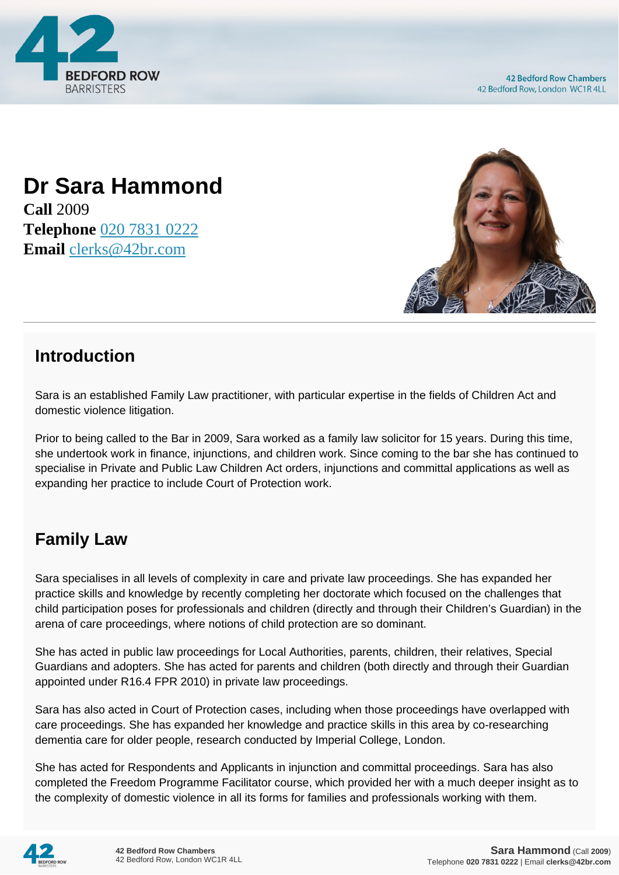

## **Dr Sara Hammond Call** 2009 **Telephone** [020 7831 0222](https://pdf.codeshore.co/_42br/tel:020 7831 0222) **Email** [clerks@42br.com](mailto:clerks@42br.com)



## **Introduction**

Sara is an established Family Law practitioner, with particular expertise in the fields of Children Act and domestic violence litigation.

Prior to being called to the Bar in 2009, Sara worked as a family law solicitor for 15 years. During this time, she undertook work in finance, injunctions, and children work. Since coming to the bar she has continued to specialise in Private and Public Law Children Act orders, injunctions and committal applications as well as expanding her practice to include Court of Protection work.

## **Family Law**

Sara specialises in all levels of complexity in care and private law proceedings. She has expanded her practice skills and knowledge by recently completing her doctorate which focused on the challenges that child participation poses for professionals and children (directly and through their Children's Guardian) in the arena of care proceedings, where notions of child protection are so dominant.

She has acted in public law proceedings for Local Authorities, parents, children, their relatives, Special Guardians and adopters. She has acted for parents and children (both directly and through their Guardian appointed under R16.4 FPR 2010) in private law proceedings.

Sara has also acted in Court of Protection cases, including when those proceedings have overlapped with care proceedings. She has expanded her knowledge and practice skills in this area by co-researching dementia care for older people, research conducted by Imperial College, London.

She has acted for Respondents and Applicants in injunction and committal proceedings. Sara has also completed the Freedom Programme Facilitator course, which provided her with a much deeper insight as to the complexity of domestic violence in all its forms for families and professionals working with them.